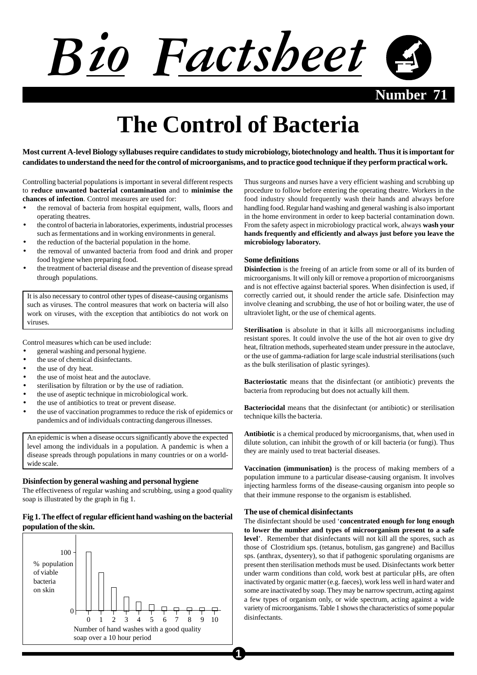

**April 2000 Number 71**

# **The Control of Bacteria**

**Most current A-level Biology syllabuses require candidates to study microbiology, biotechnology and health. Thus it is important for candidates to understand the need for the control of microorganisms, and to practice good technique if they perform practical work.**

Controlling bacterial populations is important in several different respects to **reduce unwanted bacterial contamination** and to **minimise the chances of infection**. Control measures are used for:

- the removal of bacteria from hospital equipment, walls, floors and operating theatres.
- the control of bacteria in laboratories, experiments, industrial processes such as fermentations and in working environments in general.
- the reduction of the bacterial population in the home.
- the removal of unwanted bacteria from food and drink and proper food hygiene when preparing food.
- the treatment of bacterial disease and the prevention of disease spread through populations.

It is also necessary to control other types of disease-causing organisms such as viruses. The control measures that work on bacteria will also work on viruses, with the exception that antibiotics do not work on viruses.

Control measures which can be used include:

- general washing and personal hygiene.
- the use of chemical disinfectants.
- the use of dry heat.
- the use of moist heat and the autoclave.
- sterilisation by filtration or by the use of radiation.
- the use of aseptic technique in microbiological work.
- the use of antibiotics to treat or prevent disease.
- the use of vaccination programmes to reduce the risk of epidemics or pandemics and of individuals contracting dangerous illnesses.

An epidemic is when a disease occurs significantly above the expected level among the individuals in a population. A pandemic is when a disease spreads through populations in many countries or on a worldwide scale.

#### **Disinfection by general washing and personal hygiene**

The effectiveness of regular washing and scrubbing, using a good quality soap is illustrated by the graph in fig 1.

# **Fig 1. The effect of regular efficient hand washing on the bacterial population of the skin.**



Thus surgeons and nurses have a very efficient washing and scrubbing up procedure to follow before entering the operating theatre. Workers in the food industry should frequently wash their hands and always before handling food. Regular hand washing and general washing is also important in the home environment in order to keep bacterial contamination down. From the safety aspect in microbiology practical work, always **wash your hands frequently and efficiently and always just before you leave the microbiology laboratory.**

## **Some definitions**

**Disinfection** is the freeing of an article from some or all of its burden of microorganisms. It will only kill or remove a proportion of microorganisms and is not effective against bacterial spores. When disinfection is used, if correctly carried out, it should render the article safe. Disinfection may involve cleaning and scrubbing, the use of hot or boiling water, the use of ultraviolet light, or the use of chemical agents.

**Sterilisation** is absolute in that it kills all microorganisms including resistant spores. It could involve the use of the hot air oven to give dry heat, filtration methods, superheated steam under pressure in the autoclave, or the use of gamma-radiation for large scale industrial sterilisations (such as the bulk sterilisation of plastic syringes).

**Bacteriostatic** means that the disinfectant (or antibiotic) prevents the bacteria from reproducing but does not actually kill them.

**Bacteriocidal** means that the disinfectant (or antibiotic) or sterilisation technique kills the bacteria.

**Antibiotic** is a chemical produced by microorganisms, that, when used in dilute solution, can inhibit the growth of or kill bacteria (or fungi). Thus they are mainly used to treat bacterial diseases.

**Vaccination (immunisation)** is the process of making members of a population immune to a particular disease-causing organism. It involves injecting harmless forms of the disease-causing organism into people so that their immune response to the organism is established.

#### **The use of chemical disinfectants**

The disinfectant should be used '**concentrated enough for long enough to lower the number and types of microorganism present to a safe level**'. Remember that disinfectants will not kill all the spores, such as those of Clostridium sps. (tetanus, botulism, gas gangrene) and Bacillus sps. (anthrax, dysentery), so that if pathogenic sporulating organisms are present then sterilisation methods must be used. Disinfectants work better under warm conditions than cold, work best at particular pHs, are often inactivated by organic matter (e.g. faeces), work less well in hard water and some are inactivated by soap. They may be narrow spectrum, acting against a few types of organism only, or wide spectrum, acting against a wide variety of microorganisms. Table 1 shows the characteristics of some popular disinfectants.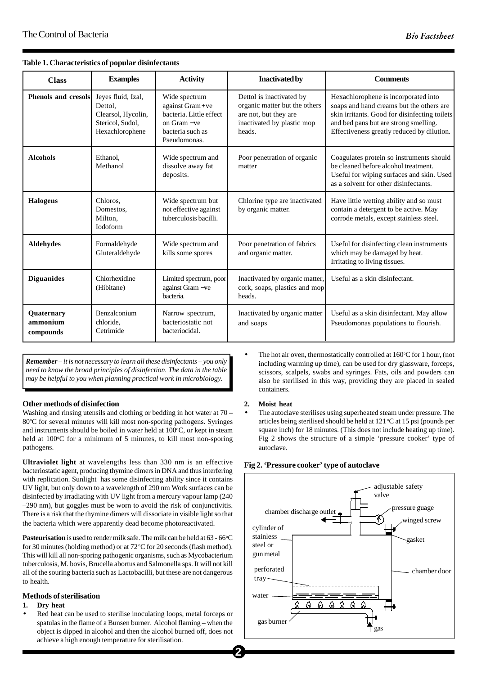| <b>Class</b>                        | <b>Examples</b>                                                                            | <b>Activity</b>                                                                                                | <b>Inactivated by</b>                                                                                                      | <b>Comments</b>                                                                                                                                                                                                          |
|-------------------------------------|--------------------------------------------------------------------------------------------|----------------------------------------------------------------------------------------------------------------|----------------------------------------------------------------------------------------------------------------------------|--------------------------------------------------------------------------------------------------------------------------------------------------------------------------------------------------------------------------|
| Phenols and cresols                 | Jeves fluid, Izal,<br>Dettol.<br>Clearsol, Hycolin,<br>Stericol, Sudol,<br>Hexachlorophene | Wide spectrum<br>against Gram+ve<br>bacteria. Little effect<br>on Gram -ve<br>bacteria such as<br>Pseudomonas. | Dettol is inactivated by<br>organic matter but the others<br>are not, but they are<br>inactivated by plastic mop<br>heads. | Hexachlorophene is incorporated into<br>soaps and hand creams but the others are<br>skin irritants. Good for disinfecting toilets<br>and bed pans but are strong smelling.<br>Effectiveness greatly reduced by dilution. |
| <b>Alcohols</b>                     | Ethanol,<br>Methanol                                                                       | Wide spectrum and<br>dissolve away fat<br>deposits.                                                            | Poor penetration of organic<br>matter                                                                                      | Coagulates protein so instruments should<br>be cleaned before alcohol treatment.<br>Useful for wiping surfaces and skin. Used<br>as a solvent for other disinfectants.                                                   |
| <b>Halogens</b>                     | Chloros.<br>Domestos,<br>Milton.<br><b>Iodoform</b>                                        | Wide spectrum but<br>not effective against<br>tuberculosis bacilli.                                            | Chlorine type are inactivated<br>by organic matter.                                                                        | Have little wetting ability and so must<br>contain a detergent to be active. May<br>corrode metals, except stainless steel.                                                                                              |
| <b>Aldehydes</b>                    | Formaldehyde<br>Gluteraldehyde                                                             | Wide spectrum and<br>kills some spores                                                                         | Poor penetration of fabrics<br>and organic matter.                                                                         | Useful for disinfecting clean instruments<br>which may be damaged by heat.<br>Irritating to living tissues.                                                                                                              |
| <b>Diguanides</b>                   | Chlorhexidine<br>(Hibitane)                                                                | Limited spectrum, poor<br>against Gram -ve<br>bacteria.                                                        | Inactivated by organic matter.<br>cork, soaps, plastics and mop<br>heads.                                                  | Useful as a skin disinfectant.                                                                                                                                                                                           |
| Quaternary<br>ammonium<br>compounds | Benzalconium<br>chloride.<br>Cetrimide                                                     | Narrow spectrum,<br>bacteriostatic not<br>bacteriocidal.                                                       | Inactivated by organic matter<br>and soaps                                                                                 | Useful as a skin disinfectant. May allow<br>Pseudomonas populations to flourish.                                                                                                                                         |

#### **Table 1. Characteristics of popular disinfectants**

*Remember – it is not necessary to learn all these disinfectants – you only need to know the broad principles of disinfection. The data in the table may be helpful to you when planning practical work in microbiology.*

# **Other methods of disinfection**

Washing and rinsing utensils and clothing or bedding in hot water at 70 – 80°C for several minutes will kill most non-sporing pathogens. Syringes and instruments should be boiled in water held at 100°C, or kept in steam held at 100°C for a minimum of 5 minutes, to kill most non-sporing pathogens.

**Ultraviolet light** at wavelengths less than 330 nm is an effective bacteriostatic agent, producing thymine dimers in DNA and thus interfering with replication. Sunlight has some disinfecting ability since it contains UV light, but only down to a wavelength of 290 nm Work surfaces can be disinfected by irradiating with UV light from a mercury vapour lamp (240 –290 nm), but goggles must be worn to avoid the risk of conjunctivitis. There is a risk that the thymine dimers will dissociate in visible light so that the bacteria which were apparently dead become photoreactivated.

**Pasteurisation** is used to render milk safe. The milk can be held at 63 - 66 °C for 30 minutes (holding method) or at  $72^{\circ}$ C for 20 seconds (flash method). This will kill all non-sporing pathogenic organisms, such as Mycobacterium tuberculosis, M. bovis, Brucella abortus and Salmonella sps. It will not kill all of the souring bacteria such as Lactobacilli, but these are not dangerous to health.

# **Methods of sterilisation**

#### **1. Dry heat**

• Red heat can be used to sterilise inoculating loops, metal forceps or spatulas in the flame of a Bunsen burner. Alcohol flaming – when the object is dipped in alcohol and then the alcohol burned off, does not achieve a high enough temperature for sterilisation.

• The hot air oven, thermostatically controlled at  $160^{\circ}$ C for 1 hour, (not including warming up time), can be used for dry glassware, forceps, scissors, scalpels, swabs and syringes. Fats, oils and powders can also be sterilised in this way, providing they are placed in sealed containers.

#### **2. Moist heat**

• The autoclave sterilises using superheated steam under pressure. The articles being sterilised should be held at  $121^{\circ}$ C at  $15$  psi (pounds per square inch) for 18 minutes. (This does not include heating up time). Fig 2 shows the structure of a simple 'pressure cooker' type of autoclave.

# **Fig 2. 'Pressure cooker' type of autoclave**

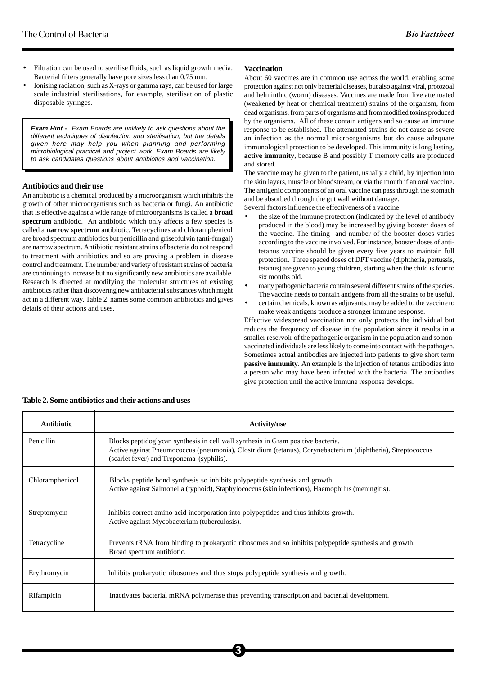- Filtration can be used to sterilise fluids, such as liquid growth media. Bacterial filters generally have pore sizes less than 0.75 mm.
- Ionising radiation, such as X-rays or gamma rays, can be used for large scale industrial sterilisations, for example, sterilisation of plastic disposable syringes.

**Exam Hint -** Exam Boards are unlikely to ask questions about the different techniques of disinfection and sterilisation, but the details given here may help you when planning and performing microbiological practical and project work. Exam Boards are likely to ask candidates questions about antibiotics and vaccination.

## **Antibiotics and their use**

An antibiotic is a chemical produced by a microorganism which inhibits the growth of other microorganisms such as bacteria or fungi. An antibiotic that is effective against a wide range of microorganisms is called a **broad spectrum** antibiotic. An antibiotic which only affects a few species is called a **narrow spectrum** antibiotic. Tetracyclines and chloramphenicol are broad spectrum antibiotics but penicillin and griseofulvin (anti-fungal) are narrow spectrum. Antibiotic resistant strains of bacteria do not respond to treatment with antibiotics and so are proving a problem in disease control and treatment. The number and variety of resistant strains of bacteria are continuing to increase but no significantly new antibiotics are available. Research is directed at modifying the molecular structures of existing antibiotics rather than discovering new antibacterial substances which might act in a different way. Table 2 names some common antibiotics and gives details of their actions and uses.

# **Vaccination**

About 60 vaccines are in common use across the world, enabling some protection against not only bacterial diseases, but also against viral, protozoal and helminthic (worm) diseases. Vaccines are made from live attenuated (weakened by heat or chemical treatment) strains of the organism, from dead organisms, from parts of organisms and from modified toxins produced by the organisms. All of these contain antigens and so cause an immune response to be established. The attenuated strains do not cause as severe an infection as the normal microorganisms but do cause adequate immunological protection to be developed. This immunity is long lasting, **active immunity**, because B and possibly T memory cells are produced and stored.

The vaccine may be given to the patient, usually a child, by injection into the skin layers, muscle or bloodstream, or via the mouth if an oral vaccine. The antigenic components of an oral vaccine can pass through the stomach and be absorbed through the gut wall without damage.

Several factors influence the effectiveness of a vaccine:

- the size of the immune protection (indicated by the level of antibody produced in the blood) may be increased by giving booster doses of the vaccine. The timing and number of the booster doses varies according to the vaccine involved. For instance, booster doses of antitetanus vaccine should be given every five years to maintain full protection. Three spaced doses of DPT vaccine (diphtheria, pertussis, tetanus) are given to young children, starting when the child is four to six months old.
- many pathogenic bacteria contain several different strains of the species. The vaccine needs to contain antigens from all the strains to be useful.
- certain chemicals, known as adjuvants, may be added to the vaccine to make weak antigens produce a stronger immune response.

Effective widespread vaccination not only protects the individual but reduces the frequency of disease in the population since it results in a smaller reservoir of the pathogenic organism in the population and so nonvaccinated individuals are less likely to come into contact with the pathogen. Sometimes actual antibodies are injected into patients to give short term **passive immunity**. An example is the injection of tetanus antibodies into a person who may have been infected with the bacteria. The antibodies give protection until the active immune response develops.

| Antibiotic      | <b>Activity/use</b>                                                                                                                                                                                                                          |
|-----------------|----------------------------------------------------------------------------------------------------------------------------------------------------------------------------------------------------------------------------------------------|
| Penicillin      | Blocks peptidoglycan synthesis in cell wall synthesis in Gram positive bacteria.<br>Active against Pneumococcus (pneumonia), Clostridium (tetanus), Corynebacterium (diphtheria), Streptococcus<br>(scarlet fever) and Treponema (syphilis). |
| Chloramphenicol | Blocks peptide bond synthesis so inhibits polypeptide synthesis and growth.<br>Active against Salmonella (typhoid), Staphylococcus (skin infections), Haemophilus (meningitis).                                                              |
| Streptomycin    | Inhibits correct amino acid incorporation into polypeptides and thus inhibits growth.<br>Active against Mycobacterium (tuberculosis).                                                                                                        |
| Tetracycline    | Prevents tRNA from binding to prokaryotic ribosomes and so inhibits polypeptide synthesis and growth.<br>Broad spectrum antibiotic.                                                                                                          |
| Erythromycin    | Inhibits prokaryotic ribosomes and thus stops polypeptide synthesis and growth.                                                                                                                                                              |
| Rifampicin      | Inactivates bacterial mRNA polymerase thus preventing transcription and bacterial development.                                                                                                                                               |

**3**

## **Table 2. Some antibiotics and their actions and uses**